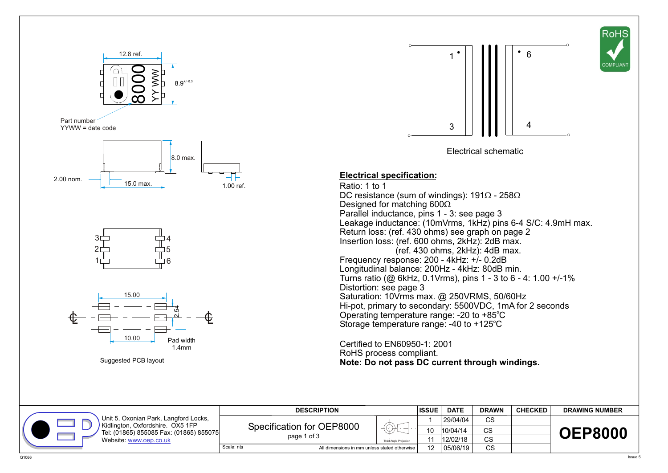







## **Electrical specification:**

Ratio: 1 to 1 DC resistance (sum of windings): 191 - 258 Designed for matching 600 Parallel inductance, pins 1 - 3: see page 3 Leakage inductance: (10mVrms, 1kHz) pins 6-4 S/C: 4.9mH max. Return loss: (ref. 430 ohms) see graph on page 2 Insertion loss: (ref. 600 ohms, 2kHz): 2dB max.  $(ref. 430 ohms. 2kHz)$ : 4dB max. Frequency response: 200 - 4kHz: +/- 0.2dB Longitudinal balance: 200Hz - 4kHz: 80dB min. Turns ratio (@ 6kHz, 0.1Vrms), pins 1 - 3 to 6 - 4: 1.00 +/-1% Distortion: see page 3 Saturation: 10Vrms max. @ 250VRMS, 50/60Hz Hi-pot, primary to secondary: 5500VDC, 1mA for 2 seconds Operating temperature range: -20 to +85°C Storage temperature range: -40 to +125°C

Certified to EN60950-1: 2001 RoHS process compliant. **Note: Do not pass DC current through windings.**

|                                                                                                                                               | <b>DESCRIPTION</b>                                         |                        | <b>ISSUE</b>             | <b>DATE</b> | <b>DRAWN</b> | <b>CHECKED</b> | <b>DRAWING NUMBER</b> |
|-----------------------------------------------------------------------------------------------------------------------------------------------|------------------------------------------------------------|------------------------|--------------------------|-------------|--------------|----------------|-----------------------|
| Unit 5, Oxonian Park, Langford Locks,<br>Kidlington, Oxfordshire. OX5 1FP<br>Tel: (01865) 855085 Fax: (01865) 855075<br>Website www.oep.co.uk | Specification for OEP8000<br>page 1 of 3                   | ≚                      |                          | 29/04/04    | CS.          |                | <b>OEP8000</b>        |
|                                                                                                                                               |                                                            |                        | -10                      | 10/04/14    | $\sim$       |                |                       |
|                                                                                                                                               |                                                            | Third Angle Projection | $\sim$<br>12/02/18<br>vo |             |              |                |                       |
|                                                                                                                                               | Scale: nts<br>All dimensions in mm unless stated otherwise |                        | $\Delta$                 | 05/06/19    | CS           |                |                       |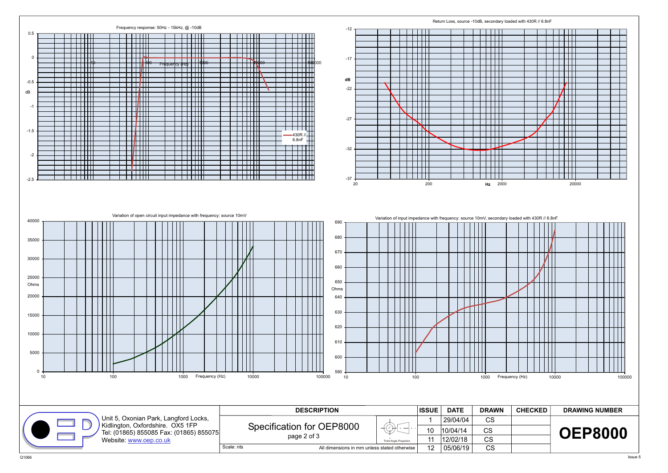